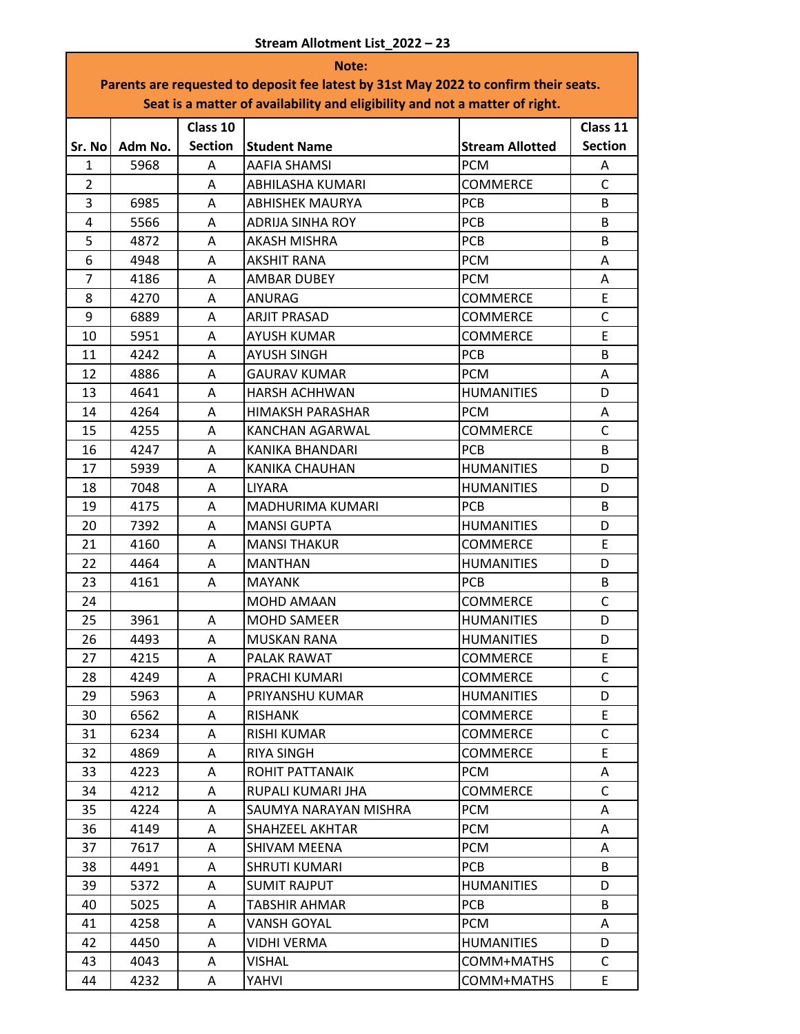| Note:                                                                                |         |                |                         |                        |                |  |
|--------------------------------------------------------------------------------------|---------|----------------|-------------------------|------------------------|----------------|--|
| Parents are requested to deposit fee latest by 31st May 2022 to confirm their seats. |         |                |                         |                        |                |  |
| Seat is a matter of availability and eligibility and not a matter of right.          |         |                |                         |                        |                |  |
|                                                                                      |         | Class 10       |                         |                        | Class 11       |  |
| Sr. No                                                                               | Adm No. | <b>Section</b> | <b>Student Name</b>     | <b>Stream Allotted</b> | <b>Section</b> |  |
| $\mathbf{1}$                                                                         | 5968    | A              | AAFIA SHAMSI            | <b>PCM</b>             | A              |  |
| $\overline{2}$                                                                       |         | A              | ABHILASHA KUMARI        | <b>COMMERCE</b>        | $\mathsf{C}$   |  |
| 3                                                                                    | 6985    | A              | <b>ABHISHEK MAURYA</b>  | <b>PCB</b>             | B              |  |
| 4                                                                                    | 5566    | A              | <b>ADRIJA SINHA ROY</b> | <b>PCB</b>             | B              |  |
| 5                                                                                    | 4872    | A              | <b>AKASH MISHRA</b>     | <b>PCB</b>             | B              |  |
| 6                                                                                    | 4948    | A              | <b>AKSHIT RANA</b>      | <b>PCM</b>             | A              |  |
| $\overline{7}$                                                                       | 4186    | Α              | <b>AMBAR DUBEY</b>      | <b>PCM</b>             | Α              |  |
| 8                                                                                    | 4270    | A              | ANURAG                  | <b>COMMERCE</b>        | E              |  |
| 9                                                                                    | 6889    | A              | <b>ARJIT PRASAD</b>     | <b>COMMERCE</b>        | $\mathsf{C}$   |  |
| 10                                                                                   | 5951    | A              | <b>AYUSH KUMAR</b>      | <b>COMMERCE</b>        | E              |  |
| 11                                                                                   | 4242    | A              | <b>AYUSH SINGH</b>      | <b>PCB</b>             | B              |  |
| 12                                                                                   | 4886    | Α              | <b>GAURAV KUMAR</b>     | <b>PCM</b>             | A              |  |
| 13                                                                                   | 4641    | Α              | <b>HARSH ACHHWAN</b>    | <b>HUMANITIES</b>      | D              |  |
| 14                                                                                   | 4264    | A              | <b>HIMAKSH PARASHAR</b> | <b>PCM</b>             | A              |  |
| 15                                                                                   | 4255    | A              | KANCHAN AGARWAL         | <b>COMMERCE</b>        | $\mathsf{C}$   |  |
| 16                                                                                   | 4247    | A              | KANIKA BHANDARI         | <b>PCB</b>             | B              |  |
| 17                                                                                   | 5939    | A              | KANIKA CHAUHAN          | <b>HUMANITIES</b>      | D              |  |
| 18                                                                                   | 7048    | Α              | LIYARA                  | <b>HUMANITIES</b>      | D              |  |
| 19                                                                                   | 4175    | A              | MADHURIMA KUMARI        | PCB                    | B              |  |
| 20                                                                                   | 7392    | A              | <b>MANSI GUPTA</b>      | <b>HUMANITIES</b>      | D              |  |
| 21                                                                                   | 4160    | A              | <b>MANSI THAKUR</b>     | <b>COMMERCE</b>        | E              |  |
| 22                                                                                   | 4464    | A              | <b>MANTHAN</b>          | <b>HUMANITIES</b>      | D              |  |
| 23                                                                                   | 4161    | A              | <b>MAYANK</b>           | <b>PCB</b>             | B              |  |
| 24                                                                                   |         |                | MOHD AMAAN              | <b>COMMERCE</b>        | C              |  |
| 25                                                                                   | 3961    | A              | <b>MOHD SAMEER</b>      | <b>HUMANITIES</b>      | D              |  |
| 26                                                                                   | 4493    | A              | <b>MUSKAN RANA</b>      | <b>HUMANITIES</b>      | D              |  |
| 27                                                                                   | 4215    | A              | PALAK RAWAT             | COMMERCE               | E              |  |
| 28                                                                                   | 4249    | Α              | PRACHI KUMARI           | <b>COMMERCE</b>        | $\mathsf{C}$   |  |
| 29                                                                                   | 5963    | Α              | PRIYANSHU KUMAR         | <b>HUMANITIES</b>      | D              |  |
| 30                                                                                   | 6562    | Α              | RISHANK                 | COMMERCE               | E              |  |
| 31                                                                                   | 6234    | A              | <b>RISHI KUMAR</b>      | <b>COMMERCE</b>        | $\mathsf{C}$   |  |
| 32                                                                                   | 4869    | A              | RIYA SINGH              | <b>COMMERCE</b>        | E.             |  |
| 33                                                                                   | 4223    | A              | ROHIT PATTANAIK         | <b>PCM</b>             | A              |  |
| 34                                                                                   | 4212    | A              | RUPALI KUMARI JHA       | <b>COMMERCE</b>        | C              |  |
| 35                                                                                   | 4224    | Α              | SAUMYA NARAYAN MISHRA   | <b>PCM</b>             | A              |  |
| 36                                                                                   | 4149    | Α              | SHAHZEEL AKHTAR         | <b>PCM</b>             | A              |  |
| 37                                                                                   | 7617    | Α              | SHIVAM MEENA            | <b>PCM</b>             | A              |  |
| 38                                                                                   | 4491    | Α              | <b>SHRUTI KUMARI</b>    | <b>PCB</b>             | B              |  |
| 39                                                                                   | 5372    | Α              | <b>SUMIT RAJPUT</b>     | <b>HUMANITIES</b>      | D              |  |
| 40                                                                                   | 5025    | Α              | TABSHIR AHMAR           | <b>PCB</b>             | B              |  |
| 41                                                                                   | 4258    | Α              | VANSH GOYAL             | <b>PCM</b>             | A              |  |
| 42                                                                                   | 4450    | Α              | <b>VIDHI VERMA</b>      | <b>HUMANITIES</b>      | D              |  |
| 43                                                                                   | 4043    | Α              | <b>VISHAL</b>           | COMM+MATHS             | C              |  |
| 44                                                                                   | 4232    | A              | YAHVI                   | COMM+MATHS             | E              |  |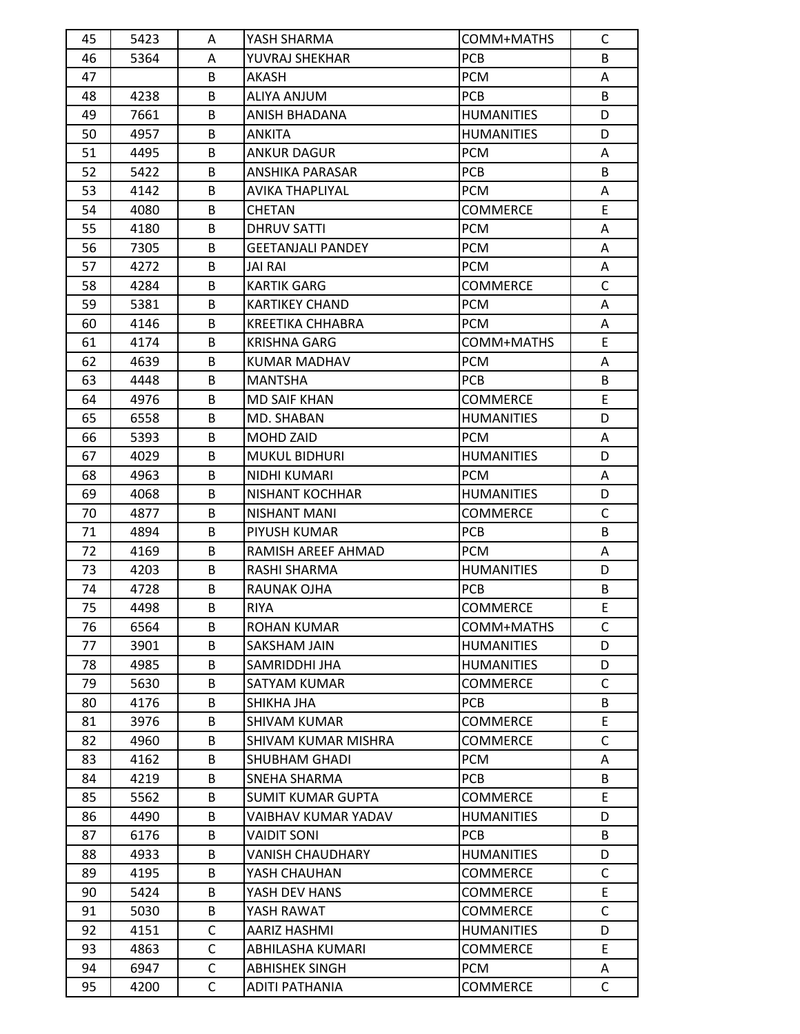| 45 | 5423 | Α            | YASH SHARMA              | COMM+MATHS        | C            |
|----|------|--------------|--------------------------|-------------------|--------------|
| 46 | 5364 | A            | YUVRAJ SHEKHAR           | <b>PCB</b>        | B            |
| 47 |      | B            | AKASH                    | <b>PCM</b>        | A            |
| 48 | 4238 | B            | ALIYA ANJUM              | <b>PCB</b>        | B            |
| 49 | 7661 | B            | ANISH BHADANA            | <b>HUMANITIES</b> | D            |
| 50 | 4957 | B            | ANKITA                   | <b>HUMANITIES</b> | D            |
| 51 | 4495 | B            | ANKUR DAGUR              | <b>PCM</b>        | A            |
| 52 | 5422 | B            | ANSHIKA PARASAR          | <b>PCB</b>        | B            |
| 53 | 4142 | В            | AVIKA THAPLIYAL          | <b>PCM</b>        | Α            |
| 54 | 4080 | B            | <b>CHETAN</b>            | COMMERCE          | E            |
| 55 | 4180 | B            | DHRUV SATTI              | <b>PCM</b>        | A            |
| 56 | 7305 | B            | <b>GEETANJALI PANDEY</b> | <b>PCM</b>        | A            |
| 57 | 4272 | B            | <b>JAI RAI</b>           | <b>PCM</b>        | A            |
| 58 | 4284 | B            | <b>KARTIK GARG</b>       | COMMERCE          | C            |
| 59 | 5381 | B            | <b>KARTIKEY CHAND</b>    | <b>PCM</b>        | A            |
| 60 | 4146 | B            | KREETIKA CHHABRA         | <b>PCM</b>        | A            |
| 61 | 4174 | B            | KRISHNA GARG             | COMM+MATHS        | E            |
| 62 | 4639 | B            | KUMAR MADHAV             | <b>PCM</b>        | A            |
| 63 | 4448 | B            | <b>MANTSHA</b>           | PCB               | B            |
| 64 | 4976 | B            | <b>MD SAIF KHAN</b>      | <b>COMMERCE</b>   | E.           |
| 65 | 6558 | B            | MD. SHABAN               | <b>HUMANITIES</b> | D            |
| 66 | 5393 | B            | MOHD ZAID                | <b>PCM</b>        | A            |
| 67 | 4029 | B            | <b>MUKUL BIDHURI</b>     | <b>HUMANITIES</b> | D            |
| 68 | 4963 | B            | NIDHI KUMARI             | <b>PCM</b>        | A            |
| 69 | 4068 | B            | NISHANT KOCHHAR          | <b>HUMANITIES</b> | D            |
| 70 | 4877 | B            | NISHANT MANI             | <b>COMMERCE</b>   | C            |
| 71 | 4894 | B            | PIYUSH KUMAR             | <b>PCB</b>        | B            |
| 72 |      | B            |                          | <b>PCM</b>        |              |
| 73 | 4169 | B            | RAMISH AREEF AHMAD       |                   | A<br>D       |
|    | 4203 | B            | RASHI SHARMA             | <b>HUMANITIES</b> |              |
| 74 | 4728 |              | RAUNAK OJHA              | <b>PCB</b>        | B<br>E       |
| 75 | 4498 | В            | <b>RIYA</b>              | COMMERCE          |              |
| 76 | 6564 | B            | ROHAN KUMAR              | COMM+MATHS        | C            |
| 77 | 3901 | В            | SAKSHAM JAIN             | <b>HUMANITIES</b> | D            |
| 78 | 4985 | B            | SAMRIDDHI JHA            | <b>HUMANITIES</b> | D            |
| 79 | 5630 | В            | SATYAM KUMAR             | COMMERCE          | C            |
| 80 | 4176 | В            | SHIKHA JHA               | PCB               | B            |
| 81 | 3976 | В            | <b>SHIVAM KUMAR</b>      | <b>COMMERCE</b>   | E.           |
| 82 | 4960 | В            | SHIVAM KUMAR MISHRA      | COMMERCE          | C            |
| 83 | 4162 | B            | SHUBHAM GHADI            | <b>PCM</b>        | A            |
| 84 | 4219 | В            | SNEHA SHARMA             | <b>PCB</b>        | B            |
| 85 | 5562 | B            | SUMIT KUMAR GUPTA        | <b>COMMERCE</b>   | E            |
| 86 | 4490 | B            | VAIBHAV KUMAR YADAV      | <b>HUMANITIES</b> | D            |
| 87 | 6176 | B            | <b>VAIDIT SONI</b>       | <b>PCB</b>        | B            |
| 88 | 4933 | В            | VANISH CHAUDHARY         | <b>HUMANITIES</b> | D            |
| 89 | 4195 | B            | YASH CHAUHAN             | COMMERCE          | C            |
| 90 | 5424 | B            | YASH DEV HANS            | COMMERCE          | E.           |
| 91 | 5030 | B            | YASH RAWAT               | COMMERCE          | $\mathsf{C}$ |
| 92 | 4151 | C            | AARIZ HASHMI             | <b>HUMANITIES</b> | D            |
| 93 | 4863 | $\mathsf{C}$ | ABHILASHA KUMARI         | COMMERCE          | E.           |
| 94 | 6947 | C            | <b>ABHISHEK SINGH</b>    | <b>PCM</b>        | A            |
| 95 | 4200 | С            | ADITI PATHANIA           | <b>COMMERCE</b>   | C            |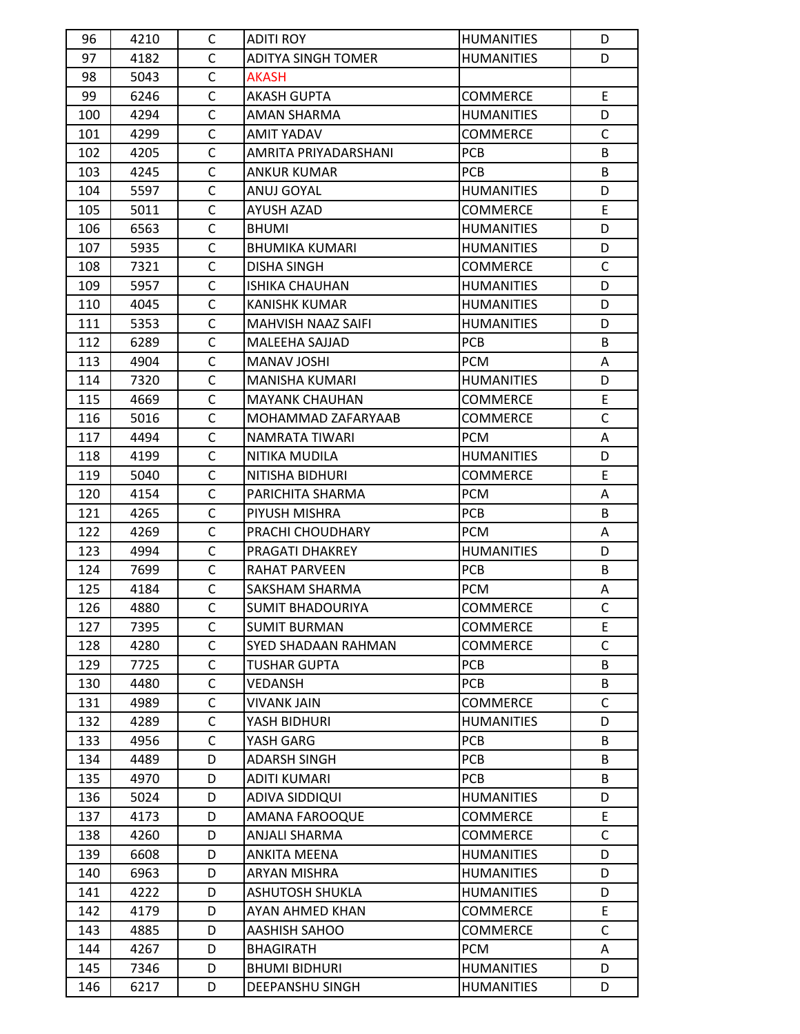| 96  | 4210 | C            | <b>ADITI ROY</b>          | <b>HUMANITIES</b> | D            |
|-----|------|--------------|---------------------------|-------------------|--------------|
| 97  | 4182 | C            | ADITYA SINGH TOMER        | <b>HUMANITIES</b> | D            |
| 98  | 5043 | C            | <b>AKASH</b>              |                   |              |
| 99  | 6246 | $\mathsf{C}$ | AKASH GUPTA               | COMMERCE          | E.           |
| 100 | 4294 | C            | AMAN SHARMA               | <b>HUMANITIES</b> | D            |
| 101 | 4299 | C            | AMIT YADAV                | COMMERCE          | $\mathsf{C}$ |
| 102 | 4205 | $\mathsf{C}$ | AMRITA PRIYADARSHANI      | <b>PCB</b>        | B            |
| 103 | 4245 | C            | <b>ANKUR KUMAR</b>        | <b>PCB</b>        | B            |
| 104 | 5597 | C            | ANUJ GOYAL                | <b>HUMANITIES</b> | D            |
| 105 | 5011 | C            | AYUSH AZAD                | COMMERCE          | E.           |
| 106 | 6563 | $\mathsf{C}$ | <b>BHUMI</b>              | <b>HUMANITIES</b> | D            |
| 107 | 5935 | C            | <b>BHUMIKA KUMARI</b>     | <b>HUMANITIES</b> | D            |
| 108 | 7321 | C            | <b>DISHA SINGH</b>        | <b>COMMERCE</b>   | $\mathsf{C}$ |
| 109 | 5957 | $\mathsf{C}$ | <b>ISHIKA CHAUHAN</b>     | <b>HUMANITIES</b> | D            |
| 110 | 4045 | $\mathsf{C}$ | KANISHK KUMAR             | <b>HUMANITIES</b> | D            |
| 111 | 5353 | C            | <b>MAHVISH NAAZ SAIFI</b> | <b>HUMANITIES</b> | D            |
| 112 | 6289 | C            | MALEEHA SAJJAD            | <b>PCB</b>        | B            |
| 113 | 4904 | C            | MANAV JOSHI               | <b>PCM</b>        | A            |
| 114 | 7320 | C            | <b>MANISHA KUMARI</b>     | <b>HUMANITIES</b> | D            |
| 115 | 4669 | $\mathsf{C}$ | <b>MAYANK CHAUHAN</b>     | <b>COMMERCE</b>   | E            |
| 116 | 5016 | $\mathsf{C}$ | MOHAMMAD ZAFARYAAB        | COMMERCE          | $\mathsf{C}$ |
| 117 | 4494 | C            | NAMRATA TIWARI            | <b>PCM</b>        | A            |
| 118 | 4199 | $\mathsf{C}$ | NITIKA MUDILA             | <b>HUMANITIES</b> | D            |
| 119 | 5040 | С            | NITISHA BIDHURI           | COMMERCE          | E.           |
| 120 | 4154 | C            | PARICHITA SHARMA          | <b>PCM</b>        | A            |
| 121 | 4265 | C            | PIYUSH MISHRA             | <b>PCB</b>        | B            |
| 122 | 4269 | C            | PRACHI CHOUDHARY          | <b>PCM</b>        | A            |
| 123 | 4994 | $\mathsf{C}$ | PRAGATI DHAKREY           | <b>HUMANITIES</b> | D            |
| 124 | 7699 | C            | RAHAT PARVEEN             | PCB               | B            |
| 125 | 4184 | C            | SAKSHAM SHARMA            | <b>PCM</b>        | A            |
| 126 | 4880 | C            | <b>SUMIT BHADOURIYA</b>   | <b>COMMERCE</b>   | $\mathsf C$  |
| 127 | 7395 | C            | <b>SUMIT BURMAN</b>       | <b>COMMERCE</b>   | E            |
| 128 | 4280 | C            | SYED SHADAAN RAHMAN       | COMMERCE          | C            |
| 129 | 7725 | C            | <b>TUSHAR GUPTA</b>       | <b>PCB</b>        | B            |
| 130 | 4480 | $\mathsf C$  | VEDANSH                   | <b>PCB</b>        | B            |
| 131 | 4989 | C            | <b>VIVANK JAIN</b>        | <b>COMMERCE</b>   | C            |
| 132 | 4289 | C            | YASH BIDHURI              | <b>HUMANITIES</b> | D            |
| 133 | 4956 | C            | YASH GARG                 | <b>PCB</b>        | B            |
| 134 | 4489 | D            | <b>ADARSH SINGH</b>       | <b>PCB</b>        | B            |
| 135 | 4970 | D            | ADITI KUMARI              | <b>PCB</b>        | B            |
| 136 | 5024 | D            | ADIVA SIDDIQUI            | <b>HUMANITIES</b> | D            |
| 137 | 4173 | D            | AMANA FAROOQUE            | COMMERCE          | E            |
| 138 | 4260 | D            | ANJALI SHARMA             | <b>COMMERCE</b>   | $\mathsf C$  |
| 139 | 6608 | D            | <b>ANKITA MEENA</b>       | <b>HUMANITIES</b> | D            |
| 140 | 6963 | D            | <b>ARYAN MISHRA</b>       | HUMANITIES        | D            |
| 141 | 4222 | D            | <b>ASHUTOSH SHUKLA</b>    | <b>HUMANITIES</b> | D            |
| 142 | 4179 | D            | AYAN AHMED KHAN           | COMMERCE          | E            |
| 143 | 4885 | D            | AASHISH SAHOO             | <b>COMMERCE</b>   | $\mathsf C$  |
| 144 | 4267 | D            | <b>BHAGIRATH</b>          | <b>PCM</b>        | A            |
| 145 | 7346 | D            | <b>BHUMI BIDHURI</b>      | HUMANITIES        | D            |
| 146 | 6217 | D            | DEEPANSHU SINGH           | <b>HUMANITIES</b> | D            |
|     |      |              |                           |                   |              |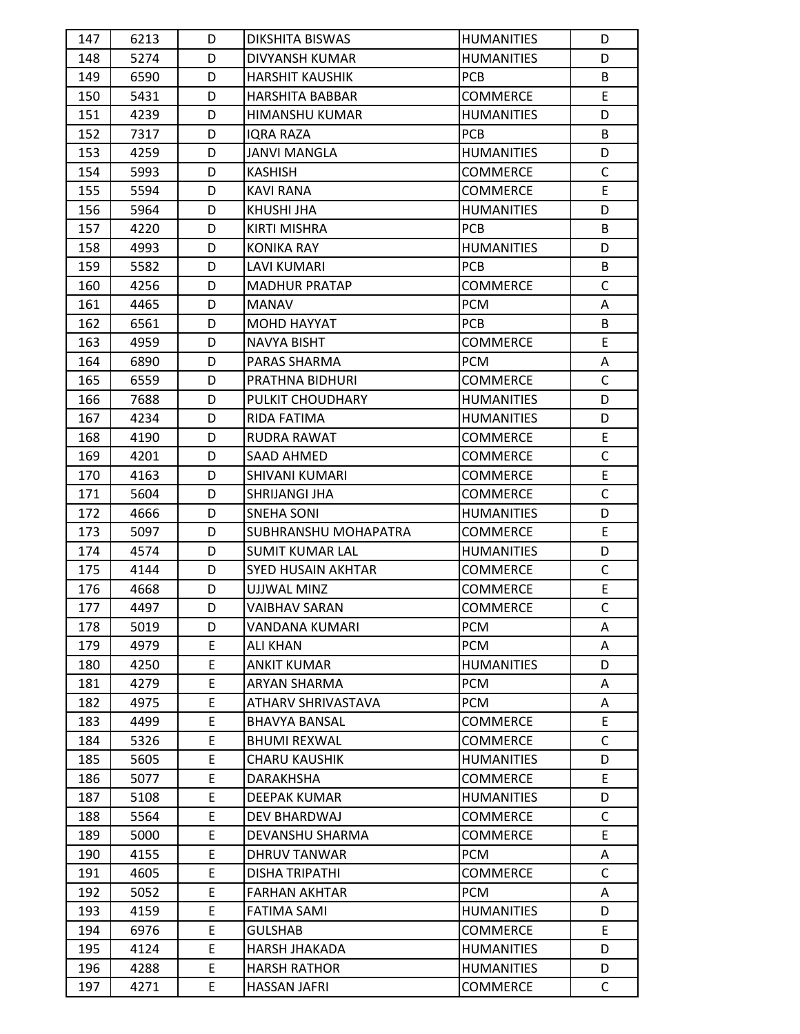| 147 | 6213 | D | DIKSHITA BISWAS        | <b>HUMANITIES</b> | D            |
|-----|------|---|------------------------|-------------------|--------------|
| 148 | 5274 | D | DIVYANSH KUMAR         | <b>HUMANITIES</b> | D            |
| 149 | 6590 | D | <b>HARSHIT KAUSHIK</b> | <b>PCB</b>        | B            |
| 150 | 5431 | D | <b>HARSHITA BABBAR</b> | COMMERCE          | E            |
| 151 | 4239 | D | HIMANSHU KUMAR         | <b>HUMANITIES</b> | D            |
| 152 | 7317 | D | IQRA RAZA              | <b>PCB</b>        | B            |
| 153 | 4259 | D | <b>JANVI MANGLA</b>    | <b>HUMANITIES</b> | D            |
| 154 | 5993 | D | <b>KASHISH</b>         | <b>COMMERCE</b>   | C            |
| 155 | 5594 | D | KAVI RANA              | COMMERCE          | E            |
| 156 | 5964 | D | KHUSHI JHA             | <b>HUMANITIES</b> | D            |
| 157 | 4220 | D | KIRTI MISHRA           | <b>PCB</b>        | B            |
| 158 | 4993 | D | KONIKA RAY             | <b>HUMANITIES</b> | D            |
| 159 | 5582 | D | <b>LAVI KUMARI</b>     | <b>PCB</b>        | B            |
| 160 | 4256 | D | <b>MADHUR PRATAP</b>   | <b>COMMERCE</b>   | $\mathsf{C}$ |
| 161 | 4465 | D | MANAV                  | <b>PCM</b>        | A            |
| 162 | 6561 | D | <b>MOHD HAYYAT</b>     | <b>PCB</b>        | B            |
| 163 | 4959 | D | NAVYA BISHT            | <b>COMMERCE</b>   | E            |
| 164 | 6890 | D | PARAS SHARMA           | <b>PCM</b>        | A            |
| 165 | 6559 | D | PRATHNA BIDHURI        | <b>COMMERCE</b>   | $\mathsf{C}$ |
| 166 | 7688 | D | PULKIT CHOUDHARY       | <b>HUMANITIES</b> | D            |
| 167 | 4234 | D | RIDA FATIMA            | <b>HUMANITIES</b> | D            |
| 168 | 4190 | D | RUDRA RAWAT            | <b>COMMERCE</b>   | E.           |
| 169 | 4201 | D | SAAD AHMED             | <b>COMMERCE</b>   | $\mathsf{C}$ |
| 170 | 4163 | D | SHIVANI KUMARI         | COMMERCE          | E            |
| 171 | 5604 | D | SHRIJANGI JHA          | <b>COMMERCE</b>   | $\mathsf{C}$ |
| 172 | 4666 | D | SNEHA SONI             | <b>HUMANITIES</b> | D            |
| 173 | 5097 | D | SUBHRANSHU MOHAPATRA   | <b>COMMERCE</b>   | E            |
| 174 | 4574 | D | SUMIT KUMAR LAL        | <b>HUMANITIES</b> | D            |
| 175 | 4144 | D | SYED HUSAIN AKHTAR     | <b>COMMERCE</b>   | $\mathsf{C}$ |
| 176 | 4668 | D | UJJWAL MINZ            | <b>COMMERCE</b>   | E            |
| 177 | 4497 | D | <b>VAIBHAV SARAN</b>   | <b>COMMERCE</b>   | C            |
| 178 | 5019 | D | VANDANA KUMARI         | <b>PCM</b>        | A            |
| 179 | 4979 | E | <b>ALI KHAN</b>        | <b>PCM</b>        | A            |
| 180 | 4250 | E | <b>ANKIT KUMAR</b>     | <b>HUMANITIES</b> | D            |
| 181 | 4279 | E | <b>ARYAN SHARMA</b>    | <b>PCM</b>        | A            |
| 182 | 4975 | E | ATHARV SHRIVASTAVA     | <b>PCM</b>        | A            |
| 183 | 4499 | E | <b>BHAVYA BANSAL</b>   | COMMERCE          | E            |
| 184 | 5326 | E | <b>BHUMI REXWAL</b>    | COMMERCE          | C            |
| 185 | 5605 | E | <b>CHARU KAUSHIK</b>   | <b>HUMANITIES</b> | D            |
| 186 | 5077 | E | DARAKHSHA              | COMMERCE          | E            |
| 187 | 5108 | E | DEEPAK KUMAR           | <b>HUMANITIES</b> | D            |
| 188 | 5564 | E | DEV BHARDWAJ           | <b>COMMERCE</b>   | $\mathsf{C}$ |
| 189 | 5000 | E | DEVANSHU SHARMA        | <b>COMMERCE</b>   | E            |
| 190 | 4155 | E | DHRUV TANWAR           | <b>PCM</b>        | A            |
| 191 | 4605 | E | DISHA TRIPATHI         | <b>COMMERCE</b>   | $\mathsf{C}$ |
| 192 | 5052 | E | <b>FARHAN AKHTAR</b>   | <b>PCM</b>        | A            |
| 193 | 4159 | E | <b>FATIMA SAMI</b>     | <b>HUMANITIES</b> | D            |
| 194 | 6976 | E | <b>GULSHAB</b>         | <b>COMMERCE</b>   | E.           |
| 195 | 4124 | E | HARSH JHAKADA          | <b>HUMANITIES</b> | D            |
| 196 | 4288 | E | HARSH RATHOR           | <b>HUMANITIES</b> | D            |
|     |      | E |                        |                   |              |
| 197 | 4271 |   | <b>HASSAN JAFRI</b>    | <b>COMMERCE</b>   | $\mathsf{C}$ |